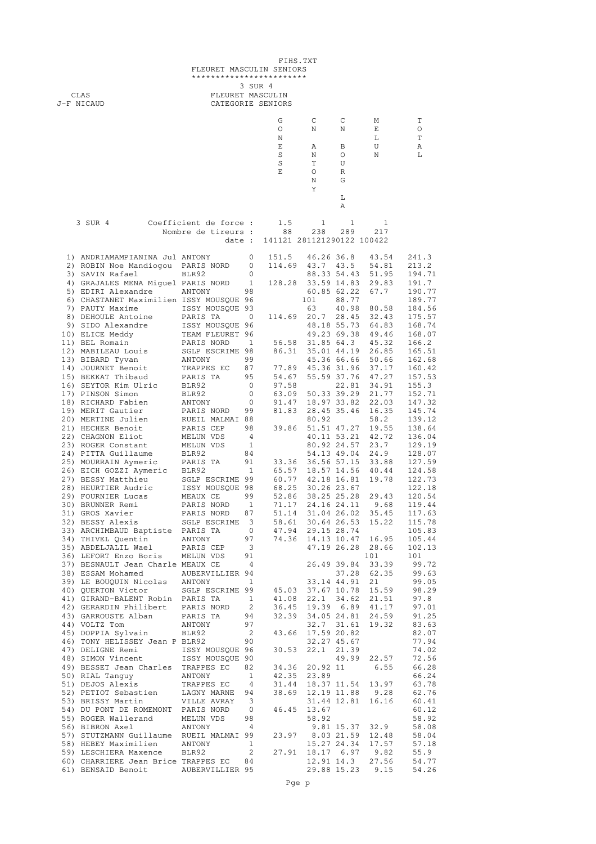| FIHS.TXT<br>FLEURET MASCULIN SENIORS |                                                                                                                                                                                                                                          |                                       |                                |                                                                                                                                                                                                                                                                                                       |                   |                            |                                              |                                                                          |  |
|--------------------------------------|------------------------------------------------------------------------------------------------------------------------------------------------------------------------------------------------------------------------------------------|---------------------------------------|--------------------------------|-------------------------------------------------------------------------------------------------------------------------------------------------------------------------------------------------------------------------------------------------------------------------------------------------------|-------------------|----------------------------|----------------------------------------------|--------------------------------------------------------------------------|--|
|                                      |                                                                                                                                                                                                                                          | ************************              |                                | 3 SUR 4                                                                                                                                                                                                                                                                                               |                   |                            |                                              |                                                                          |  |
|                                      | CLAS<br>J-F NICAUD                                                                                                                                                                                                                       | FLEURET MASCULIN<br>CATEGORIE SENIORS |                                |                                                                                                                                                                                                                                                                                                       |                   |                            |                                              |                                                                          |  |
|                                      |                                                                                                                                                                                                                                          |                                       |                                |                                                                                                                                                                                                                                                                                                       |                   |                            |                                              |                                                                          |  |
|                                      |                                                                                                                                                                                                                                          |                                       |                                | G<br>O                                                                                                                                                                                                                                                                                                | C<br>N            | C<br>N                     | М<br>Ε                                       | Т<br>O                                                                   |  |
|                                      |                                                                                                                                                                                                                                          |                                       |                                | N<br>Ε                                                                                                                                                                                                                                                                                                | Α                 | В                          | L<br>U                                       | T<br>Α                                                                   |  |
|                                      |                                                                                                                                                                                                                                          |                                       |                                | S                                                                                                                                                                                                                                                                                                     | Ν                 | O                          | Ν                                            | L                                                                        |  |
|                                      |                                                                                                                                                                                                                                          |                                       |                                | S<br>E                                                                                                                                                                                                                                                                                                | Т<br>O            | U<br>R                     |                                              |                                                                          |  |
|                                      |                                                                                                                                                                                                                                          |                                       |                                |                                                                                                                                                                                                                                                                                                       | N                 | G                          |                                              |                                                                          |  |
|                                      |                                                                                                                                                                                                                                          |                                       |                                |                                                                                                                                                                                                                                                                                                       | Υ                 | L                          |                                              |                                                                          |  |
|                                      |                                                                                                                                                                                                                                          |                                       |                                |                                                                                                                                                                                                                                                                                                       |                   | Α                          |                                              |                                                                          |  |
|                                      | 3 SUR 4                                                                                                                                                                                                                                  | Coefficient de force :                |                                | 1.5                                                                                                                                                                                                                                                                                                   | $\mathbf{1}$      | 1                          | 1                                            |                                                                          |  |
|                                      |                                                                                                                                                                                                                                          | Nombre de tireurs :<br>date :         |                                | 88<br>141121 281121290122 100422                                                                                                                                                                                                                                                                      | 238               | 289                        | 217                                          |                                                                          |  |
|                                      |                                                                                                                                                                                                                                          |                                       |                                |                                                                                                                                                                                                                                                                                                       |                   |                            |                                              |                                                                          |  |
|                                      | 1) ANDRIAMAMPIANINA Jul ANTONY<br>2) ROBIN Noe Mandiogou PARIS NORD                                                                                                                                                                      |                                       | 0<br>0                         | 151.5<br>114.69 43.7 43.5                                                                                                                                                                                                                                                                             | 46.26 36.8        |                            | 43.54<br>54.81                               | 241.3<br>213.2                                                           |  |
|                                      | 3) SAVIN Rafael                                                                                                                                                                                                                          | BLR92                                 | 0                              |                                                                                                                                                                                                                                                                                                       |                   | 88.33 54.43                | 51.95                                        | 194.71                                                                   |  |
|                                      | 4) GRAJALES MENA Miquel PARIS NORD<br>5) EDIRI Alexandre                                                                                                                                                                                 | ANTONY                                | $\overline{1}$<br>98           | 128.28                                                                                                                                                                                                                                                                                                |                   | 33.59 14.83<br>60.85 62.22 | 29.83<br>67.7                                | 191.7<br>190.77                                                          |  |
|                                      | 6) CHASTANET Maximilien ISSY MOUSQUE 96                                                                                                                                                                                                  |                                       |                                |                                                                                                                                                                                                                                                                                                       | 101               | 88.77                      |                                              | 189.77                                                                   |  |
|                                      | 7) PAUTY Maxime<br>8) DEHOULE Antoine                                                                                                                                                                                                    | ISSY MOUSQUE 93<br>PARIS TA           | $\overline{0}$                 | 114.69 20.7 28.45                                                                                                                                                                                                                                                                                     | 63                | 40.98                      | 80.58<br>32.43                               | 184.56<br>175.57                                                         |  |
|                                      | 9) SIDO Alexandre                                                                                                                                                                                                                        | ISSY MOUSQUE 96                       |                                |                                                                                                                                                                                                                                                                                                       |                   | 48.18 55.73                | 64.83                                        | 168.74                                                                   |  |
|                                      | 10) ELICE Meddy<br>11) BEL Romain                                                                                                                                                                                                        | TEAM FLEURET 96<br>PARIS NORD         | $\mathbf{1}$                   |                                                                                                                                                                                                                                                                                                       | 56.58 31.85 64.3  | 49.23 69.38                | 49.46<br>45.32                               | 168.07<br>166.2                                                          |  |
|                                      | 12) MABILEAU Louis                                                                                                                                                                                                                       | SGLP ESCRIME 98                       |                                | 86.31                                                                                                                                                                                                                                                                                                 |                   | 35.01 44.19                | 26.85                                        | 165.51                                                                   |  |
|                                      | 13) BIBARD Tyvan<br>14) JOURNET Benoit                                                                                                                                                                                                   | ANTONY<br>TRAPPES EC                  | 99<br>87                       |                                                                                                                                                                                                                                                                                                       | 77.89 45.36 31.96 | 45.36 66.66                | 50.66<br>37.17                               | 162.68<br>160.42                                                         |  |
|                                      | 15) BEKKAT Thibaud                                                                                                                                                                                                                       | PARIS TA                              | 95                             |                                                                                                                                                                                                                                                                                                       |                   |                            | 54.67 55.59 37.76 47.27                      | 157.53                                                                   |  |
|                                      | 16) SEYTOR Kim Ulric<br>17) PINSON Simon                                                                                                                                                                                                 | BLR92<br>BLR92                        | 0<br>0                         | 97.58                                                                                                                                                                                                                                                                                                 |                   |                            | 22.81 34.91<br>63.09 50.33 39.29 21.77       | 155.3<br>152.71                                                          |  |
|                                      | 18) RICHARD Fabien                                                                                                                                                                                                                       | ANTONY                                | 0                              | 91.47                                                                                                                                                                                                                                                                                                 | 18.97 33.82       |                            | 22.03                                        | 147.32                                                                   |  |
|                                      | 19) MERIT Gautier<br>20) MERTINE Julien                                                                                                                                                                                                  | PARIS NORD<br>RUEIL MALMAI 88         | 99                             | 81.83                                                                                                                                                                                                                                                                                                 | 80.92             | 28.45 35.46                | 16.35<br>58.2                                | 145.74<br>139.12                                                         |  |
|                                      | 21) HECHER Benoit                                                                                                                                                                                                                        | PARIS CEP                             | 98                             | 39.86                                                                                                                                                                                                                                                                                                 |                   | 51.51 47.27                | 19.55                                        | 138.64                                                                   |  |
|                                      | 22) CHAGNON Eliot<br>23) ROGER Constant                                                                                                                                                                                                  | MELUN VDS<br>MELUN VDS                | $\overline{4}$<br>$\mathbf{1}$ |                                                                                                                                                                                                                                                                                                       |                   | 40.11 53.21<br>80.92 24.57 | 42.72<br>23.7                                | 136.04<br>129.19                                                         |  |
|                                      | 24) PITTA Guillaume                                                                                                                                                                                                                      | BLR92                                 | 84                             |                                                                                                                                                                                                                                                                                                       |                   |                            | 54.13 49.04 24.9                             | 128.07                                                                   |  |
|                                      | 25) MOURRAIN Aymeric PARIS TA 91<br>26) EICH GOZZI Aymeric BLR92 1<br>27) BESSY Matthieu SGLP ESCRIME 99                                                                                                                                 |                                       |                                | 33.36                                                                                                                                                                                                                                                                                                 |                   |                            | 36.56 57.15 33.88<br>65.57 18.57 14.56 40.44 | 127.59<br>124.58                                                         |  |
|                                      |                                                                                                                                                                                                                                          |                                       |                                | 60.77                                                                                                                                                                                                                                                                                                 | 42.18 16.81       |                            | 19.78                                        | 122.73                                                                   |  |
|                                      |                                                                                                                                                                                                                                          |                                       |                                |                                                                                                                                                                                                                                                                                                       |                   |                            |                                              | 122.18<br>120.54                                                         |  |
|                                      |                                                                                                                                                                                                                                          |                                       |                                |                                                                                                                                                                                                                                                                                                       |                   |                            | 71.17 24.16 24.11 9.68                       | 119.44                                                                   |  |
|                                      |                                                                                                                                                                                                                                          |                                       |                                |                                                                                                                                                                                                                                                                                                       |                   |                            |                                              | 51.14 31.04 26.02 35.45 117.63<br>115.78                                 |  |
|                                      |                                                                                                                                                                                                                                          |                                       |                                |                                                                                                                                                                                                                                                                                                       |                   |                            |                                              | 105.83                                                                   |  |
|                                      | 28) HEURTIER AUGLIC MEAUX CE (29) FOURNIER Lucas<br>30) BRUNNER Remi PARIS NORD 1 71.1/2<br>31) GROS Xavier PARIS NORD 87 51.14 31.04 26.02 35.45<br>32) BESSY Alexis SGLP ESCRIME 3 58.61 30.64 26.53 15.22<br>33) ARCHIMBAUD Bapt      |                                       |                                |                                                                                                                                                                                                                                                                                                       |                   |                            |                                              | 105.44<br>102.13                                                         |  |
|                                      |                                                                                                                                                                                                                                          |                                       |                                |                                                                                                                                                                                                                                                                                                       |                   |                            |                                              | 101                                                                      |  |
|                                      | 37) BESNAULT Jean Charle MEAUA CL<br>38) ESSAM Mohamed AUBERVILLIER 94<br>39) LE BOUQUIN Nicolas ANTONY 1<br>40) QUERTON Victor SGLP ESCRIME 99 45.03 37.67 10.78 15.59<br>10 QUERTON Victor SGLP ESCRIME 99 45.03 37.67 10.78 15.59<br> |                                       |                                |                                                                                                                                                                                                                                                                                                       |                   |                            |                                              | 99.72<br>99.63                                                           |  |
|                                      |                                                                                                                                                                                                                                          |                                       |                                |                                                                                                                                                                                                                                                                                                       |                   |                            |                                              | $99.05$<br>$98.29$<br>$97.8$<br>$97.01$<br>$91.25$<br>$83.63$<br>$82.07$ |  |
|                                      |                                                                                                                                                                                                                                          |                                       |                                |                                                                                                                                                                                                                                                                                                       |                   |                            |                                              |                                                                          |  |
|                                      | 42) GERARDIN Philibert PARIS NORD 2 36.45 19.39 6.89 41.17<br>43) GARROUSTE Alban PARIS TA 94 32.39 34.05 24.81 24.59<br>44) VOLTZ Tom ANTONY 97 32.7 31.61 19.32<br>45) DOPPIA Sylvain BLR92 2 43.66 17.59 20.82<br>46) DOPPIA Sylva    |                                       |                                |                                                                                                                                                                                                                                                                                                       |                   |                            |                                              |                                                                          |  |
|                                      |                                                                                                                                                                                                                                          |                                       |                                |                                                                                                                                                                                                                                                                                                       |                   |                            |                                              |                                                                          |  |
|                                      |                                                                                                                                                                                                                                          |                                       |                                |                                                                                                                                                                                                                                                                                                       |                   |                            |                                              | 82.07                                                                    |  |
|                                      | 46) TONY HELISSEY Jean P BLR92                                                                                                                                                                                                           |                                       | 90                             |                                                                                                                                                                                                                                                                                                       |                   | 32.27 45.67                | 30.53 22.1 21.39                             | 77.94<br>74.02                                                           |  |
|                                      | 47) DELIGNE Remi<br>48) SIMON Vincent<br>48) SIMON Vincent<br>1SSY MOUSQUE 90                                                                                                                                                            |                                       |                                |                                                                                                                                                                                                                                                                                                       |                   |                            |                                              | 4.02<br>49.99 22.57 72.56<br>11 6.55 66.28                               |  |
|                                      | 49) BESSET Jean Charles TRAPPES EC                                                                                                                                                                                                       |                                       | 82                             | 34.36 20.92 11 6.55<br>42.35 23.89                                                                                                                                                                                                                                                                    |                   |                            |                                              | 66.24                                                                    |  |
|                                      |                                                                                                                                                                                                                                          |                                       |                                |                                                                                                                                                                                                                                                                                                       |                   |                            |                                              | 31.44 18.37 11.54 13.97 63.78                                            |  |
|                                      | 30) RIAL Tanguy<br>1991 - ANTONY 1991, 2008<br>23.89<br>52) PETIOT Sebastien LAGNY MARNE 94 38.69 12.19 11.88 9.28<br>53) BRISSY Martin VILLE AVRAY 3 31.44 12.81 16.16                                                                  |                                       |                                |                                                                                                                                                                                                                                                                                                       |                   |                            |                                              | $62.76$<br>$60.41$                                                       |  |
|                                      | 54) DU PONT DE ROMEMONT PARIS NORD 0 46.45 13.67<br>55) ROGER Wallerand MELUN VDS 98 58.92<br>56) BIBRON Axel ANTONY 4 9.81<br>57) STUTZMANN Cutillars Computer Computer Computer 19.81                                                  |                                       |                                | $\begin{array}{cccccc} 31. & 31. & 57 \\ 46. & 45 & 13. & 67 \\ & 58. & 92 & 9. & 81. & 15. & 37 & 32. & 9 & 58. & 08 \\ 23. & 97 & 8. & 03 & 21. & 59 & 12. & 48 & 58. & 04 \\ & 15. & 27 & 24. & 34 & 17. & 57 & 57. & 18 \\ & 18. & 17 & 6. & 97 & 9. & 82 & 55. & 9 \\ & & 27. & 56 & 54. & 77 &$ |                   |                            |                                              |                                                                          |  |
|                                      |                                                                                                                                                                                                                                          |                                       |                                |                                                                                                                                                                                                                                                                                                       |                   |                            |                                              |                                                                          |  |
|                                      | 57) STUTZMANN Guillaume RUEIL MALMAI 99                                                                                                                                                                                                  |                                       |                                |                                                                                                                                                                                                                                                                                                       |                   |                            |                                              |                                                                          |  |
|                                      | 58) HEBEY Maximilien ANTONY 1<br>59) LESCHIERA Maxence BLR92                                                                                                                                                                             |                                       |                                | $2$ 27.91 18.17 6.97 9.82                                                                                                                                                                                                                                                                             |                   |                            |                                              |                                                                          |  |
|                                      | 60) CHARRIERE Jean Brice TRAPPES EC 84                                                                                                                                                                                                   |                                       |                                |                                                                                                                                                                                                                                                                                                       |                   |                            |                                              |                                                                          |  |
|                                      | 61) BENSAID Benoit AUBERVILLIER 95 29.88 15.23 9.15                                                                                                                                                                                      |                                       |                                |                                                                                                                                                                                                                                                                                                       |                   |                            |                                              | 54.26                                                                    |  |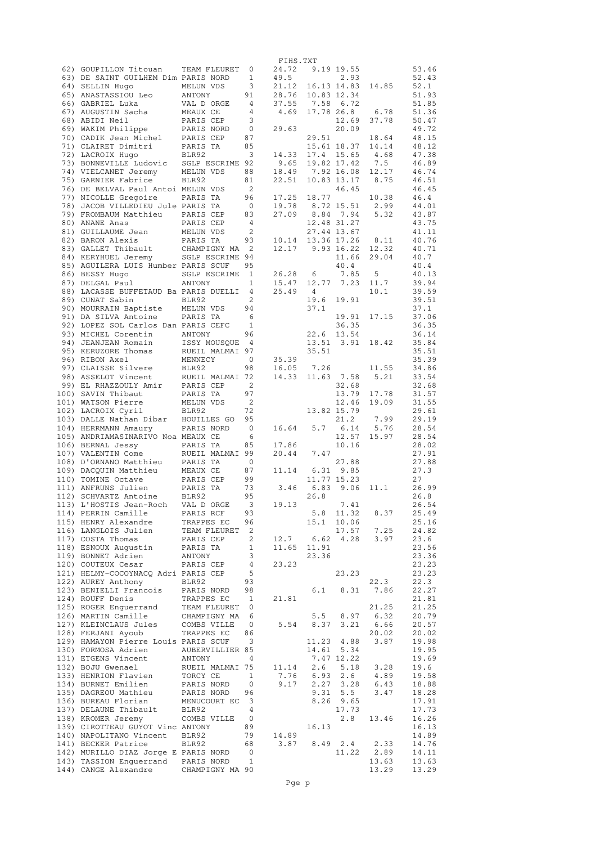|                                                          |                           |                            | FIHS.TXT            |               |                          |                                      |                |
|----------------------------------------------------------|---------------------------|----------------------------|---------------------|---------------|--------------------------|--------------------------------------|----------------|
| 62) GOUPILLON Titouan                                    | TEAM FLEURET              | 0                          | 24.72               |               | 9.19 19.55               |                                      | 53.46          |
| 63) DE SAINT GUILHEM Dim PARIS NORD                      |                           | 1                          | 49.5                |               | 2.93                     |                                      | 52.43          |
| 64) SELLIN Hugo                                          | MELUN VDS                 | 3                          | 21.12               |               | 16.13 14.83 14.85        |                                      | 52.1           |
| 65) ANASTASSIOU Leo                                      | ANTONY                    | 91                         | 28.76               |               | 10.83 12.34              |                                      | 51.93          |
| 66) GABRIEL Luka                                         | VAL D ORGE                | $\overline{4}$             | 37.55 7.58 6.72     |               |                          |                                      | 51.85          |
| 67) AUGUSTIN Sacha                                       | MEAUX CE                  | $\overline{4}$             | 4.69 17.78 26.8     |               |                          | 6.78                                 | 51.36          |
| 68) ABIDI Neil                                           | PARIS CEP                 | 3                          |                     |               | 12.69                    | 37.78                                | 50.47          |
| 69) WAKIM Philippe<br>70) CADIK Jean Michel              | PARIS NORD                | 0<br>87                    | 29.63               |               | 20.09                    |                                      | 49.72<br>48.15 |
| 71) CLAIRET Dimitri                                      | PARIS CEP<br>PARIS TA     | 85                         |                     | 29.51         | 15.61 18.37              | 18.64<br>14.14                       | 48.12          |
| 72) LACROIX Hugo                                         | BLR92                     | $\overline{\mathbf{3}}$    | 14.33               |               | 17.4 15.65               | 4.68                                 | 47.38          |
| 73) BONNEVILLE Ludovic                                   | SGLP ESCRIME 92           |                            | 9.65                | 19.82 17.42   |                          | 7.5                                  | 46.89          |
| 74) VIELCANET Jeremy                                     | MELUN VDS                 | 88                         | 18.49 7.92 16.08    |               |                          | 12.17                                | 46.74          |
| 75) GARNIER Fabrice                                      | BLR92                     | 81                         | 22.51               |               | 10.83 13.17              | 8.75                                 | 46.51          |
| 76) DE BELVAL Paul Antoi MELUN VDS                       |                           | $\overline{\phantom{0}}^2$ |                     |               | 46.45                    |                                      | 46.45          |
| 77) NICOLLE Gregoire                                     | PARIS TA                  | 96                         | 17.25               | 18.77         |                          | 10.38                                | 46.4           |
| 78) JACOB VILLEDIEU Jule PARIS TA                        |                           | $\overline{0}$             | 19.78               | 8.72 15.51    |                          | 2.99                                 | 44.01          |
| 79) FROMBAUM Matthieu PARIS CEP                          |                           | 83                         | 27.09               |               | 8.84 7.94                | 5.32                                 | 43.87          |
| 80) ANANE Anas                                           | PARIS CEP                 | 4                          |                     | 12.48 31.27   |                          |                                      | 43.75          |
| 81) GUILLAUME Jean                                       | MELUN VDS                 | $\overline{2}$             |                     | 27.44 13.67   |                          |                                      | 41.11          |
| 82) BARON Alexis                                         | PARIS TA                  | 93                         | 10.14 13.36 17.26   |               |                          | 8.11                                 | 40.76          |
| 83) GALLET Thibault                                      | CHAMPIGNY MA 2            |                            | 12.17 9.93 16.22    |               |                          | 12.32                                | 40.71          |
| 84) KERYHUEL Jeremy                                      | SGLP ESCRIME 94           |                            |                     |               | 11.66                    | 29.04                                | 40.7           |
| 85) AGUILERA LUIS Humber PARIS SCUF                      |                           | 95                         |                     |               | 40.4                     |                                      | 40.4           |
| 86) BESSY Hugo                                           | SGLP ESCRIME              | $\overline{1}$             | 26.28               | 6             | 7.85<br>12.77 7.23       | -5                                   | 40.13          |
| 87) DELGAL Paul<br>88) LACASSE BUFFETAUD Ba PARIS DUELLI | ANTONY                    | 1<br>4                     | 15.47<br>25.49      | 4             |                          | 11.7<br>10.1                         | 39.94<br>39.59 |
| 89) CUNAT Sabin                                          | BLR92                     | 2                          |                     | 19.6          | 19.91                    |                                      | 39.51          |
| 90) MOURRAIN Baptiste                                    | MELUN VDS                 | 94                         |                     | 37.1          |                          |                                      | 37.1           |
| 91) DA SILVA Antoine                                     | PARIS TA                  | 6                          |                     |               | 19.91                    | 17.15                                | 37.06          |
| 92) LOPEZ SOL Carlos Dan PARIS CEFC                      |                           | $\overline{1}$             |                     |               | 36.35                    |                                      | 36.35          |
| 93) MICHEL Corentin                                      | ANTONY                    | 96                         |                     |               | 22.6 13.54               |                                      | 36.14          |
| 94) JEANJEAN Romain                                      | ISSY MOUSQUE 4            |                            |                     | 13.51 3.91    |                          | 18.42                                | 35.84          |
| 95) KERUZORE Thomas                                      | RUEIL MALMAI 97           |                            |                     | 35.51         |                          |                                      | 35.51          |
| 96) RIBON Axel                                           | MENNECY                   | 0                          | 35.39               |               |                          |                                      | 35.39          |
| 97) CLAISSE Silvere                                      | BLR92                     | 98                         | 16.05               | 7.26          |                          | 11.55                                | 34.86          |
| 98) ASSELOT Vincent                                      | RUEIL MALMAI 72           |                            | 14.33               |               | 11.63 7.58               | 5.21                                 | 33.54          |
| 99) EL RHAZZOULY Amir                                    | PARIS CEP                 | $\overline{\phantom{0}}^2$ |                     |               | 32.68                    |                                      | 32.68          |
| 100) SAVIN Thibaut                                       | PARIS TA                  | 97                         |                     |               | 13.79                    | 17.78                                | 31.57          |
| 101) WATSON Pierre                                       | MELUN VDS                 | $\overline{\phantom{0}}^2$ |                     |               | 12.46                    | 19.09                                | 31.55          |
| 102) LACROIX Cyril                                       | BLR92                     | 72                         |                     |               | 13.82 15.79              |                                      | 29.61          |
| 103) DALLE Nathan Dibar                                  | HOUILLES GO               | 95                         |                     |               | 21.2                     | 7.99                                 | 29.19          |
| 104) HERRMANN Amaury                                     | PARIS NORD                | $\overline{0}$             | 16.64               |               | $5.7$ 6.14               | 5.76                                 | 28.54          |
| 105) ANDRIAMASINARIVO Noa MEAUX CE                       |                           | 6                          |                     |               | 12.57                    | 15.97                                | 28.54          |
| 106) BERNAL Jessy                                        | PARIS TA                  | 85                         | 17.86               |               | 10.16                    |                                      | 28.02          |
| 107) VALENTIN Come<br>108) D'ORNANO Matthieu             | RUEIL MALMAI 99           |                            | 20.44               | 7.47          |                          |                                      | 27.91          |
| 109) DACQUIN Matthieu                                    | PARIS TA<br>MEAUX CE      | $\overline{0}$<br>87       | 11.14               | $6.31$ $9.85$ | 27.88                    |                                      | 27.88<br>27.3  |
| 110) TOMINE Octave                                       | PARIS CEP                 | 99                         |                     |               | 11.77 15.23              |                                      | 27             |
| 111) ANFRUNS Julien                                      | PARIS TA                  | 73                         | 3.46                | 6.83          | 9.06                     | 11.1                                 | 26.99          |
| 112) SCHVARTZ Antoine                                    | BLR92                     | 95                         |                     | 26.8          |                          |                                      | 26.8           |
| 113) L'HOSTIS Jean-Roch                                  | VAL D ORGE                | 3                          | 19.13               |               | 7.41                     |                                      | 26.54          |
| 114) PERRIN Camille                                      | PARIS RCF                 | 93                         |                     | 5.8           | 11.32                    | 8.37                                 | 25.49          |
| 115) HENRY Alexandre                                     | TRAPPES EC                | 96                         |                     | 15.1          | 10.06                    |                                      | 25.16          |
| 116) LANGLOIS Julien                                     | TEAM FLEURET              | 2                          |                     |               |                          |                                      | 24.82          |
| 117) COSTA Thomas                                        | PARIS CEP                 | 2                          | 12.7                |               |                          | $17.57$ $7.25$<br>6.62 $4.28$ $3.97$ | 23.6           |
| 118) ESNOUX Augustin                                     | PARIS TA                  | $\mathbf{1}$               | 11.65 11.91         |               |                          |                                      | 23.56          |
| 119) BONNET Adrien                                       | ANTONY                    | 3                          |                     | 23.36         |                          |                                      | 23.36          |
| 120) COUTEUX Cesar                                       | PARIS CEP                 | 4                          | 23.23               |               |                          |                                      | 23.23          |
| 121) HELMY-COCOYNACQ Adri PARIS CEP                      |                           | 5                          |                     |               | 23.23                    |                                      | 23.23          |
| 122) AUREY Anthony                                       | BLR92                     | 93                         |                     |               |                          | 22.3                                 | 22.3           |
| 123) BENIELLI Francois                                   | PARIS NORD                | 98                         |                     |               | $6.1$ $8.31$             | 7.86                                 | 22.27          |
| 124) ROUFF Denis                                         | TRAPPES EC                | 1                          | 21.81               |               |                          |                                      | 21.81          |
| 125) ROGER Enquerrand                                    | TEAM FLEURET              | $\overline{0}$             |                     |               |                          | 21.25                                | 21.25          |
| 126) MARTIN Camille                                      | CHAMPIGNY MA              | 6                          |                     | 5.5           | 8.97                     | 6.32                                 | 20.79          |
| 127) KLEINCLAUS Jules                                    | COMBS VILLE               |                            | 0 $5.54$            | 8.37          |                          | $3.21$ 6.66                          | 20.57          |
| 128) FERJANI Ayoub                                       | TRAPPES EC                | 86                         |                     |               |                          | 20.02                                | 20.02          |
| 129) HAMAYON Pierre Louis PARIS SCUF                     |                           | $\overline{\mathbf{3}}$    |                     |               | 11.23 4.88               | 3.87                                 | 19.98          |
| 130) FORMOSA Adrien<br>131) ETGENS Vincent               | AUBERVILLIER 85<br>ANTONY | $\overline{4}$             |                     |               | 14.61 5.34<br>7.47 12.22 |                                      | 19.95<br>19.69 |
| 132) BOJU Gwenael                                        | RUEIL MALMAI 75 11.14 2.6 |                            |                     |               | 5.18                     | 3.28                                 | 19.6           |
| 133) HENRION Flavien                                     | TORCY CE                  | $\mathbf{1}$               | 7.76 6.93           |               | 2.6                      | 4.89                                 | 19.58          |
| 134) BURNET Emilien                                      | PARIS NORD                | $\overline{0}$             | 9.17                |               | $2.27$ $3.28$            | 6.43                                 | 18.88          |
| 135) DAGREOU Mathieu                                     | PARIS NORD                | 96                         |                     |               | $9.31 \quad 5.5$         | 3.47                                 | 18.28          |
| 136) BUREAU Florian                                      | MENUCOURT EC 3            |                            |                     | 8.26          | 9.65                     |                                      | 17.91          |
| 137) DELAUNE Thibault                                    | BLR92                     | $\overline{4}$             |                     |               | 17.73                    |                                      | 17.73          |
| 138) KROMER Jeremy                                       | COMBS VILLE               | $\overline{0}$             |                     |               | 2.8                      | 13.46                                | 16.26          |
| 139) CIROTTEAU GUYOT Vinc ANTONY                         |                           | 89                         |                     | 16.13         |                          |                                      | 16.13          |
| 140) NAPOLITANO Vincent                                  | BLR92                     |                            | 79 14.89            |               |                          |                                      | 14.89          |
| 141) BECKER Patrice                                      | BLR92                     | 68                         | $3.87$ $8.49$ $2.4$ |               |                          | 2.33                                 | 14.76          |
| 142) MURILLO DIAZ Jorge E PARIS NORD                     |                           | $\overline{0}$             |                     |               |                          | 11.22 2.89                           | 14.11          |
| 143) TASSION Enguerrand PARIS NORD                       |                           | $\overline{1}$             |                     |               |                          | 13.63                                | 13.63          |
| 144) CANGE Alexandre CHAMPIGNY MA 90                     |                           |                            |                     |               |                          | 13.29                                | 13.29          |